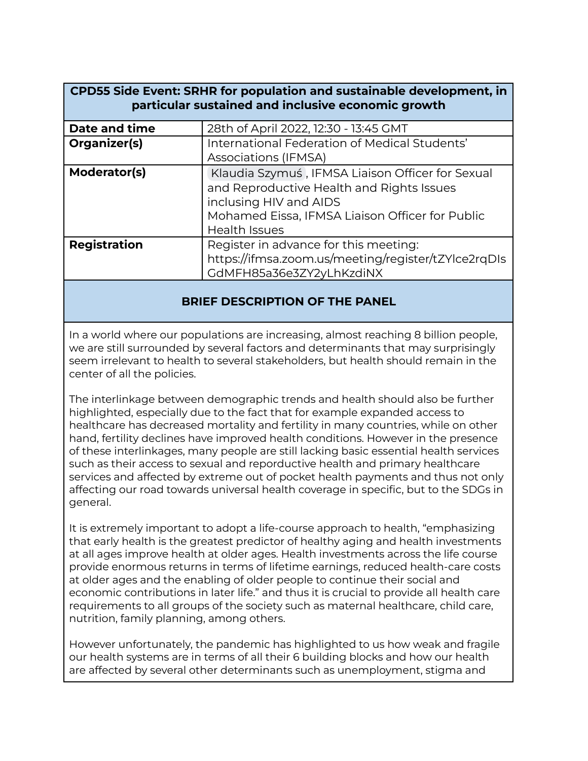| <b>CPD55 Side Event: SRHR for population and sustainable development, in</b><br>particular sustained and inclusive economic growth |                                                                                                                                                                                                    |
|------------------------------------------------------------------------------------------------------------------------------------|----------------------------------------------------------------------------------------------------------------------------------------------------------------------------------------------------|
| Date and time                                                                                                                      | 28th of April 2022, 12:30 - 13:45 GMT                                                                                                                                                              |
| Organizer(s)                                                                                                                       | International Federation of Medical Students'<br>Associations (IFMSA)                                                                                                                              |
| Moderator(s)                                                                                                                       | Klaudia Szymuś, IFMSA Liaison Officer for Sexual<br>and Reproductive Health and Rights Issues<br>inclusing HIV and AIDS<br>Mohamed Eissa, IFMSA Liaison Officer for Public<br><b>Health Issues</b> |
| <b>Registration</b>                                                                                                                | Register in advance for this meeting:<br>https://ifmsa.zoom.us/meeting/register/tZYlce2rqDIs<br>GdMFH85a36e3ZY2yLhKzdiNX                                                                           |
|                                                                                                                                    |                                                                                                                                                                                                    |

## **BRIEF DESCRIPTION OF THE PANEL**

In a world where our populations are increasing, almost reaching 8 billion people, we are still surrounded by several factors and determinants that may surprisingly seem irrelevant to health to several stakeholders, but health should remain in the center of all the policies.

The interlinkage between demographic trends and health should also be further highlighted, especially due to the fact that for example expanded access to healthcare has decreased mortality and fertility in many countries, while on other hand, fertility declines have improved health conditions. However in the presence of these interlinkages, many people are still lacking basic essential health services such as their access to sexual and reporductive health and primary healthcare services and affected by extreme out of pocket health payments and thus not only affecting our road towards universal health coverage in specific, but to the SDGs in general.

It is extremely important to adopt a life-course approach to health, "emphasizing that early health is the greatest predictor of healthy aging and health investments at all ages improve health at older ages. Health investments across the life course provide enormous returns in terms of lifetime earnings, reduced health-care costs at older ages and the enabling of older people to continue their social and economic contributions in later life." and thus it is crucial to provide all health care requirements to all groups of the society such as maternal healthcare, child care, nutrition, family planning, among others.

However unfortunately, the pandemic has highlighted to us how weak and fragile our health systems are in terms of all their 6 building blocks and how our health are affected by several other determinants such as unemployment, stigma and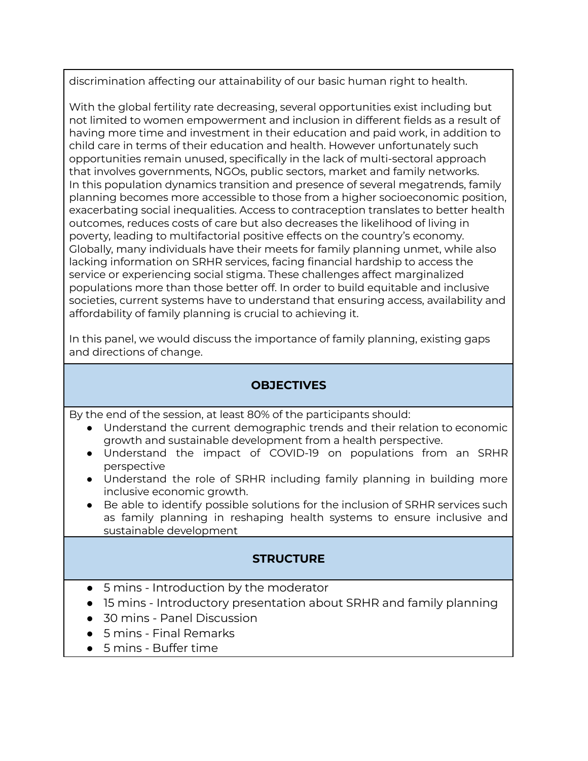discrimination affecting our attainability of our basic human right to health.

With the global fertility rate decreasing, several opportunities exist including but not limited to women empowerment and inclusion in different fields as a result of having more time and investment in their education and paid work, in addition to child care in terms of their education and health. However unfortunately such opportunities remain unused, specifically in the lack of multi-sectoral approach that involves governments, NGOs, public sectors, market and family networks. In this population dynamics transition and presence of several megatrends, family planning becomes more accessible to those from a higher socioeconomic position, exacerbating social inequalities. Access to contraception translates to better health outcomes, reduces costs of care but also decreases the likelihood of living in poverty, leading to multifactorial positive effects on the country's economy. Globally, many individuals have their meets for family planning unmet, while also lacking information on SRHR services, facing financial hardship to access the service or experiencing social stigma. These challenges affect marginalized populations more than those better off. In order to build equitable and inclusive societies, current systems have to understand that ensuring access, availability and affordability of family planning is crucial to achieving it.

In this panel, we would discuss the importance of family planning, existing gaps and directions of change.

## **OBJECTIVES**

By the end of the session, at least 80% of the participants should:

- Understand the current demographic trends and their relation to economic growth and sustainable development from a health perspective.
- Understand the impact of COVID-19 on populations from an SRHR perspective
- Understand the role of SRHR including family planning in building more inclusive economic growth.
- Be able to identify possible solutions for the inclusion of SRHR services such as family planning in reshaping health systems to ensure inclusive and sustainable development

## **STRUCTURE**

- 5 mins Introduction by the moderator
- 15 mins Introductory presentation about SRHR and family planning
- 30 mins Panel Discussion
- 5 mins Final Remarks
- 5 mins Buffer time